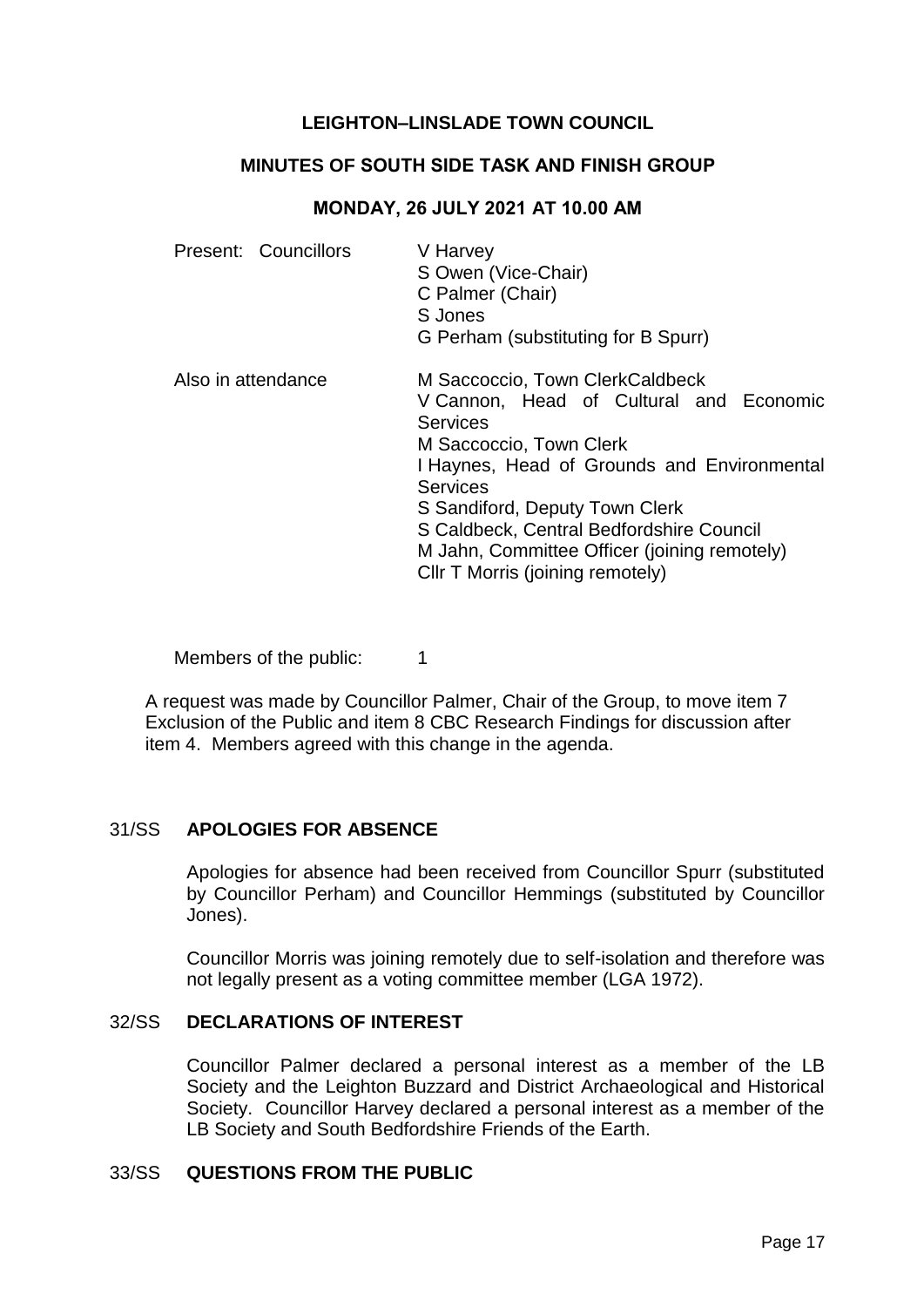# **LEIGHTON–LINSLADE TOWN COUNCIL**

## **MINUTES OF SOUTH SIDE TASK AND FINISH GROUP**

#### **MONDAY, 26 JULY 2021 AT 10.00 AM**

| Present: Councillors | V Harvey<br>S Owen (Vice-Chair)<br>C Palmer (Chair)<br>S Jones<br>G Perham (substituting for B Spurr)                                                                                                                                                                                                                                                        |
|----------------------|--------------------------------------------------------------------------------------------------------------------------------------------------------------------------------------------------------------------------------------------------------------------------------------------------------------------------------------------------------------|
| Also in attendance   | M Saccoccio, Town ClerkCaldbeck<br>V Cannon, Head of Cultural and Economic<br><b>Services</b><br>M Saccoccio, Town Clerk<br>I Haynes, Head of Grounds and Environmental<br><b>Services</b><br>S Sandiford, Deputy Town Clerk<br>S Caldbeck, Central Bedfordshire Council<br>M Jahn, Committee Officer (joining remotely)<br>CIIr T Morris (joining remotely) |

Members of the public: 1

A request was made by Councillor Palmer, Chair of the Group, to move item 7 Exclusion of the Public and item 8 CBC Research Findings for discussion after item 4. Members agreed with this change in the agenda.

#### 31/SS **APOLOGIES FOR ABSENCE**

Apologies for absence had been received from Councillor Spurr (substituted by Councillor Perham) and Councillor Hemmings (substituted by Councillor Jones).

Councillor Morris was joining remotely due to self-isolation and therefore was not legally present as a voting committee member (LGA 1972).

#### 32/SS **DECLARATIONS OF INTEREST**

Councillor Palmer declared a personal interest as a member of the LB Society and the Leighton Buzzard and District Archaeological and Historical Society. Councillor Harvey declared a personal interest as a member of the LB Society and South Bedfordshire Friends of the Earth.

### 33/SS **QUESTIONS FROM THE PUBLIC**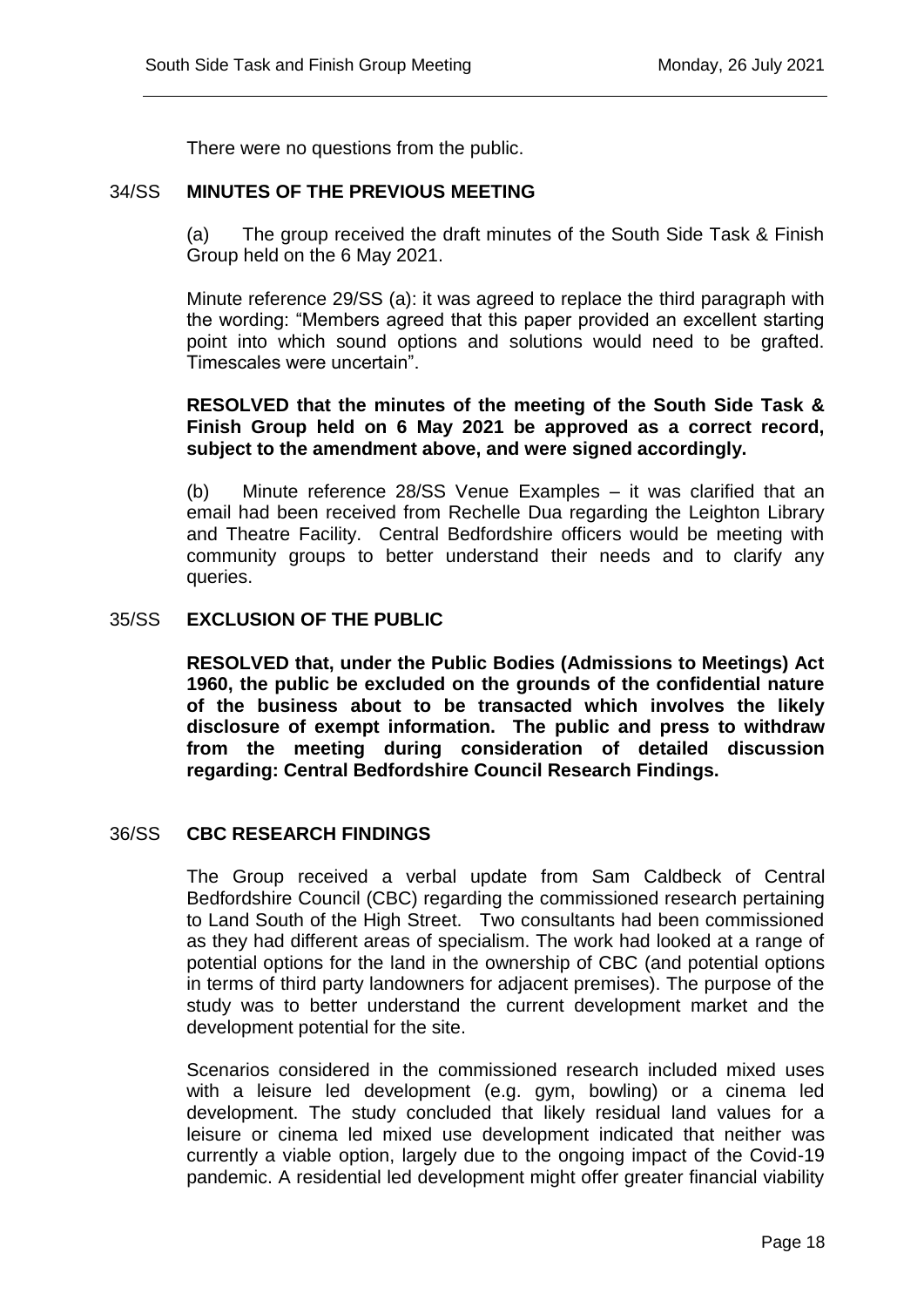There were no questions from the public.

## 34/SS **MINUTES OF THE PREVIOUS MEETING**

(a) The group received the draft minutes of the South Side Task & Finish Group held on the 6 May 2021.

Minute reference 29/SS (a): it was agreed to replace the third paragraph with the wording: "Members agreed that this paper provided an excellent starting point into which sound options and solutions would need to be grafted. Timescales were uncertain".

# **RESOLVED that the minutes of the meeting of the South Side Task & Finish Group held on 6 May 2021 be approved as a correct record, subject to the amendment above, and were signed accordingly.**

(b) Minute reference 28/SS Venue Examples – it was clarified that an email had been received from Rechelle Dua regarding the Leighton Library and Theatre Facility. Central Bedfordshire officers would be meeting with community groups to better understand their needs and to clarify any queries.

#### 35/SS **EXCLUSION OF THE PUBLIC**

**RESOLVED that, under the Public Bodies (Admissions to Meetings) Act 1960, the public be excluded on the grounds of the confidential nature of the business about to be transacted which involves the likely disclosure of exempt information. The public and press to withdraw from the meeting during consideration of detailed discussion regarding: Central Bedfordshire Council Research Findings.**

# 36/SS **CBC RESEARCH FINDINGS**

The Group received a verbal update from Sam Caldbeck of Central Bedfordshire Council (CBC) regarding the commissioned research pertaining to Land South of the High Street. Two consultants had been commissioned as they had different areas of specialism. The work had looked at a range of potential options for the land in the ownership of CBC (and potential options in terms of third party landowners for adjacent premises). The purpose of the study was to better understand the current development market and the development potential for the site.

Scenarios considered in the commissioned research included mixed uses with a leisure led development (e.g. gym, bowling) or a cinema led development. The study concluded that likely residual land values for a leisure or cinema led mixed use development indicated that neither was currently a viable option, largely due to the ongoing impact of the Covid-19 pandemic. A residential led development might offer greater financial viability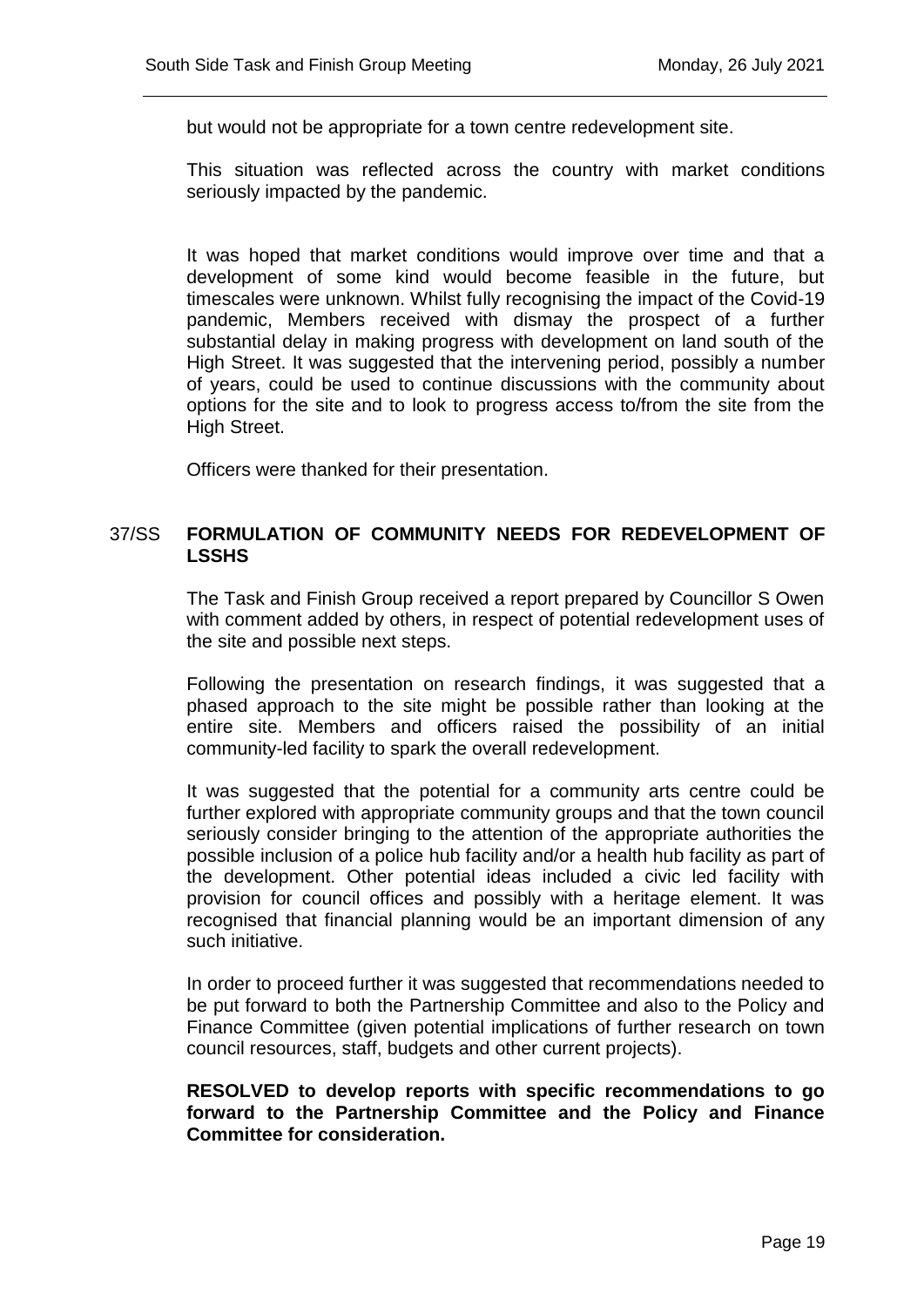but would not be appropriate for a town centre redevelopment site.

This situation was reflected across the country with market conditions seriously impacted by the pandemic.

It was hoped that market conditions would improve over time and that a development of some kind would become feasible in the future, but timescales were unknown. Whilst fully recognising the impact of the Covid-19 pandemic, Members received with dismay the prospect of a further substantial delay in making progress with development on land south of the High Street. It was suggested that the intervening period, possibly a number of years, could be used to continue discussions with the community about options for the site and to look to progress access to/from the site from the High Street.

Officers were thanked for their presentation.

# 37/SS **FORMULATION OF COMMUNITY NEEDS FOR REDEVELOPMENT OF LSSHS**

The Task and Finish Group received a report prepared by Councillor S Owen with comment added by others, in respect of potential redevelopment uses of the site and possible next steps.

Following the presentation on research findings, it was suggested that a phased approach to the site might be possible rather than looking at the entire site. Members and officers raised the possibility of an initial community-led facility to spark the overall redevelopment.

It was suggested that the potential for a community arts centre could be further explored with appropriate community groups and that the town council seriously consider bringing to the attention of the appropriate authorities the possible inclusion of a police hub facility and/or a health hub facility as part of the development. Other potential ideas included a civic led facility with provision for council offices and possibly with a heritage element. It was recognised that financial planning would be an important dimension of any such initiative.

In order to proceed further it was suggested that recommendations needed to be put forward to both the Partnership Committee and also to the Policy and Finance Committee (given potential implications of further research on town council resources, staff, budgets and other current projects).

**RESOLVED to develop reports with specific recommendations to go forward to the Partnership Committee and the Policy and Finance Committee for consideration.**